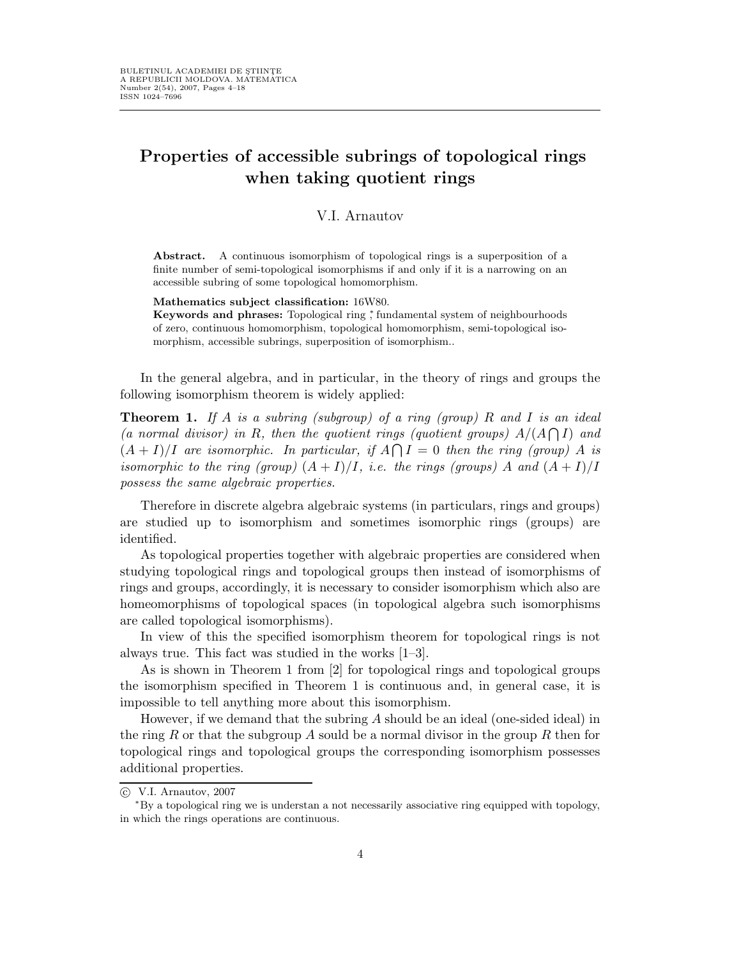# Properties of accessible subrings of topological rings when taking quotient rings

## V.I. Arnautov

Abstract. A continuous isomorphism of topological rings is a superposition of a finite number of semi-topological isomorphisms if and only if it is a narrowing on an accessible subring of some topological homomorphism.

Mathematics subject classification: 16W80.

Keywords and phrases: Topological ring \* fundamental system of neighbourhoods of zero, continuous homomorphism, topological homomorphism, semi-topological isomorphism, accessible subrings, superposition of isomorphism..

In the general algebra, and in particular, in the theory of rings and groups the following isomorphism theorem is widely applied:

**Theorem 1.** If A is a subring (subgroup) of a ring (group) R and I is an ideal (a normal divisor) in R, then the quotient rings (quotient groups)  $A/(A \cap I)$  and  $(A+I)/I$  are isomorphic. In particular, if  $A \cap I = 0$  then the ring (group) A is isomorphic to the ring (group)  $(A+I)/I$ , i.e. the rings (groups) A and  $(A+I)/I$ possess the same algebraic properties.

Therefore in discrete algebra algebraic systems (in particulars, rings and groups) are studied up to isomorphism and sometimes isomorphic rings (groups) are identified.

As topological properties together with algebraic properties are considered when studying topological rings and topological groups then instead of isomorphisms of rings and groups, accordingly, it is necessary to consider isomorphism which also are homeomorphisms of topological spaces (in topological algebra such isomorphisms are called topological isomorphisms).

In view of this the specified isomorphism theorem for topological rings is not always true. This fact was studied in the works [1–3].

As is shown in Theorem 1 from [2] for topological rings and topological groups the isomorphism specified in Theorem 1 is continuous and, in general case, it is impossible to tell anything more about this isomorphism.

However, if we demand that the subring A should be an ideal (one-sided ideal) in the ring R or that the subgroup A sould be a normal divisor in the group R then for topological rings and topological groups the corresponding isomorphism possesses additional properties.

 $\odot$  V.I. Arnautov, 2007

<sup>∗</sup>By a topological ring we is understan a not necessarily associative ring equipped with topology, in which the rings operations are continuous.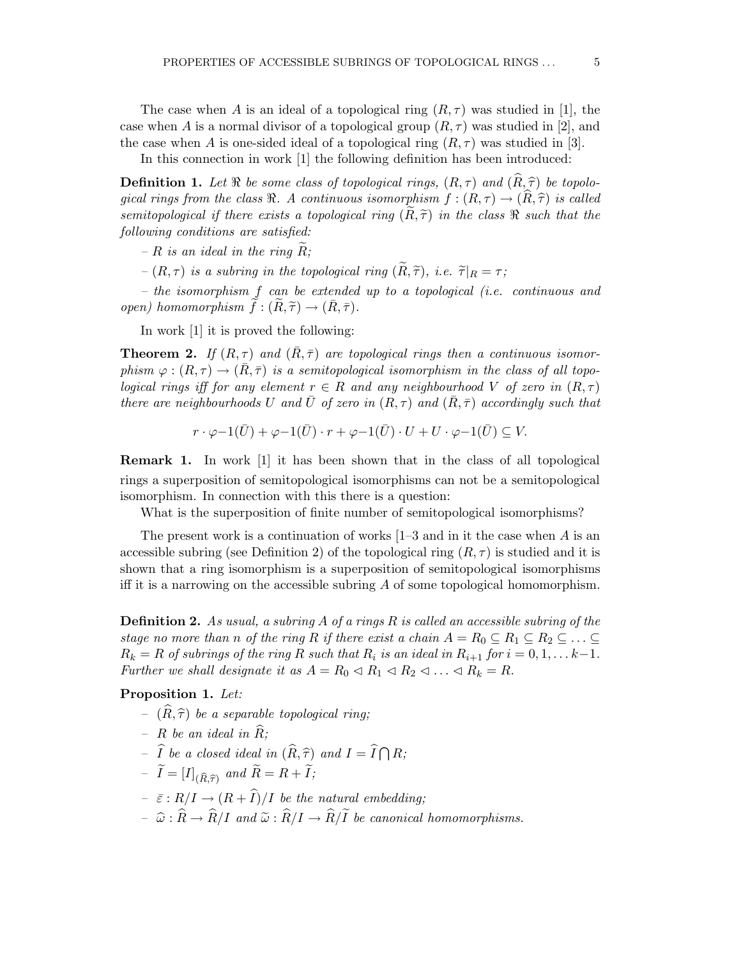In this connection in work [1] the following definition has been introduced:

**Definition 1.** Let  $\Re$  be some class of topological rings,  $(R, \tau)$  and  $(\widehat{R}, \widehat{\tau})$  be topological rings from the class  $\Re$ . A continuous isomorphism  $f : (R, \tau) \to (\hat{R}, \hat{\tau})$  is called semitopological if there exists a topological ring  $(R, \tilde{\tau})$  in the class  $\Re$  such that the following conditions are satisfied:

–  $R$  is an ideal in the ring  $R$ ;

–  $(R, \tau)$  is a subring in the topological ring  $(\widetilde{R}, \widetilde{\tau})$ , i.e.  $\widetilde{\tau}|_R = \tau$ ;

– the isomorphism f can be extended up to a topological (i.e. continuous and open) homomorphism  $f: (R, \tilde{\tau}) \to (\bar{R}, \bar{\tau}).$ 

In work [1] it is proved the following:

**Theorem 2.** If  $(R, \tau)$  and  $(R, \bar{\tau})$  are topological rings then a continuous isomorphism  $\varphi : (R, \tau) \to (R, \bar{\tau})$  is a semitopological isomorphism in the class of all topological rings iff for any element  $r \in R$  and any neighbourhood V of zero in  $(R, \tau)$ there are neighbourhoods U and  $\bar{U}$  of zero in  $(R,\tau)$  and  $(\bar{R},\bar{\tau})$  accordingly such that

$$
r \cdot \varphi - 1(\bar{U}) + \varphi - 1(\bar{U}) \cdot r + \varphi - 1(\bar{U}) \cdot U + U \cdot \varphi - 1(\bar{U}) \subseteq V.
$$

Remark 1. In work [1] it has been shown that in the class of all topological rings a superposition of semitopological isomorphisms can not be a semitopological isomorphism. In connection with this there is a question:

What is the superposition of finite number of semitopological isomorphisms?

The present work is a continuation of works  $[1-3]$  and in it the case when A is an accessible subring (see Definition 2) of the topological ring  $(R, \tau)$  is studied and it is shown that a ring isomorphism is a superposition of semitopological isomorphisms iff it is a narrowing on the accessible subring A of some topological homomorphism.

**Definition 2.** As usual, a subring A of a rings R is called an accessible subring of the stage no more than n of the ring R if there exist a chain  $A = R_0 \subseteq R_1 \subseteq R_2 \subseteq \ldots \subseteq$  $R_k = R$  of subrings of the ring R such that  $R_i$  is an ideal in  $R_{i+1}$  for  $i = 0, 1, \ldots k-1$ . Further we shall designate it as  $A = R_0 \triangleleft R_1 \triangleleft R_2 \triangleleft \ldots \triangleleft R_k = R$ .

Proposition 1. Let:

- $(\widehat{R}, \widehat{\tau})$  be a separable topological ring;
- R be an ideal in  $\widehat{R}$ :
- $-\widehat{I}$  be a closed ideal in  $(\widehat{R}, \widehat{\tau})$  and  $I = \widehat{I} \bigcap R;$
- $-I = [I]_{(\widehat{R}, \widehat{\tau})}$  and  $R = R + I;$
- $\bar{\varepsilon}: R/I \to (R + \hat{I})/I$  be the natural embedding;
- $-\hat{\omega}: \widehat{R} \to \widehat{R}/I$  and  $\widetilde{\omega}: \widehat{R}/I \to \widehat{R}/\widetilde{I}$  be canonical homomorphisms.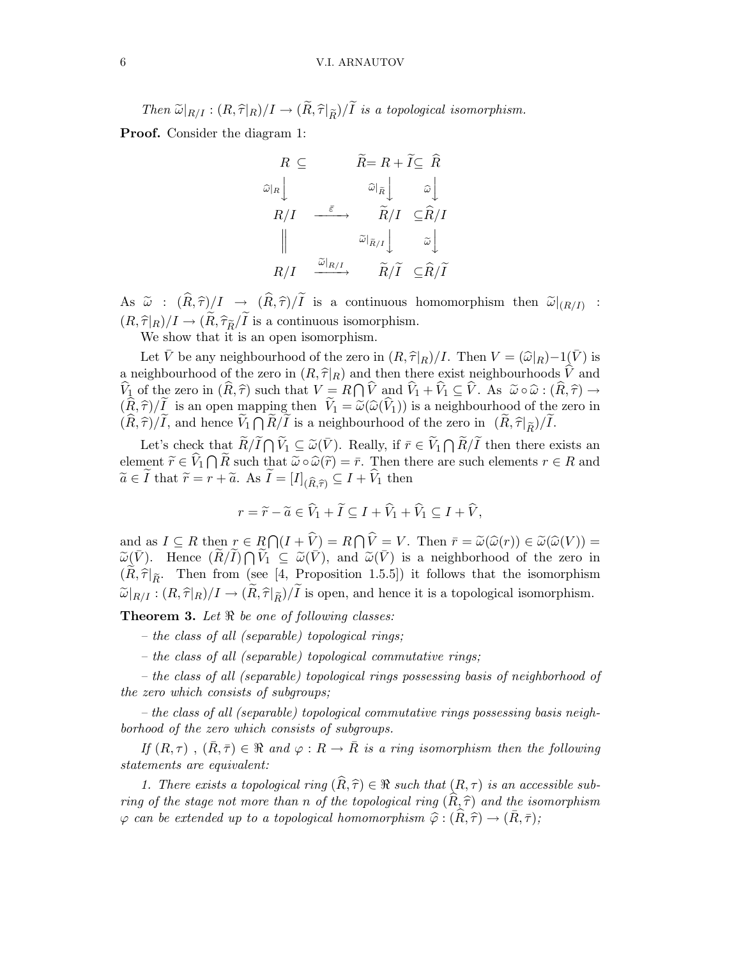### 6 V.I. ARNAUTOV

Then  $\widetilde{\omega}|_{R/I} : (R,\widehat{\tau}|_R)/I \to (\widetilde{R},\widehat{\tau}|_{\widetilde{R}})/\widetilde{I}$  is a topological isomorphism.

Proof. Consider the diagram 1:

$$
R \subseteq R = R + I \subseteq R
$$
\n
$$
\begin{array}{ccc}\n\widehat{\omega}_{R} & \widehat{\omega}_{\tilde{R}} & \widehat{\omega} \\
R/I & \xrightarrow{\tilde{\varepsilon}} & \widehat{R}/I & \widehat{\varepsilon} \widehat{R}/I \\
\parallel & \stackrel{\widetilde{\omega}_{R/I}}{\omega_{R/I}} & \widehat{\omega} \end{array}
$$
\n
$$
R/I \xrightarrow{\tilde{\omega}_{R/I}} \widehat{R}/\widetilde{I} \subseteq \widehat{R}/\widetilde{I}
$$

 $\mathrm{As} \;\; \widetilde{\omega} \; : \; (R, \widehat{\tau})/I \; \rightarrow \; (R, \widehat{\tau})/I \; \; \text{is a continuous homomorphism then} \;\; \widetilde{\omega}|_{(R/I)} \; :$  $(R,\widehat\tau|_R)/I \to (\widetilde R,\widehat\tau_{\widetilde R}/\widetilde I$  is a continuous isomorphism.

We show that it is an open isomorphism.

Let  $\bar{V}$  be any neighbourhood of the zero in  $(R, \hat{\tau}|_R)/I$ . Then  $V = (\hat{\omega}|_R) - 1(\bar{V})$  is a neighbourhood of the zero in  $(R, \hat{\tau}|_R)$  and then there exist neighbourhoods  $\hat{V}$  and  $\hat{V}_1$  of the zero in  $(\hat{R}, \hat{\tau})$  such that  $V = R \bigcap \hat{V}$  and  $\hat{V}_1 + \hat{V}_1 \subseteq \hat{V}$ . As  $\tilde{\omega} \circ \hat{\omega} : (\hat{R}, \hat{\tau}) \to$  $(\widehat{R},\widehat{\tau})/\widetilde{I}$  is an open mapping then  $\widetilde{V}_1 = \widetilde{\omega}(\widehat{\omega}(\widehat{V}_1))$  is a neighbourhood of the zero in  $(\widehat{R},\widehat{\tau})/\widetilde{I}$ , and hence  $\widetilde{V}_1 \bigcap \widetilde{R}/\widetilde{I}$  is a neighbourhood of the zero in  $(\widetilde{R},\widehat{\tau}|_{\widetilde{R}})/\widetilde{I}$ .

Let's check that  $\widetilde{R}/\widetilde{I} \cap \widetilde{V}_1 \subseteq \widetilde{\omega}(\overline{V})$ . Really, if  $\overline{r} \in \widetilde{V}_1 \cap \widetilde{R}/\widetilde{I}$  then there exists an element  $\widetilde{r} \in \widehat{V}_1 \cap \widetilde{R}$  such that  $\widetilde{\omega} \circ \widehat{\omega}(\widetilde{r}) = \overline{r}$ . Then there are such elements  $r \in R$  and  $\widetilde{a} \in I$  that  $\widetilde{r} = r + \widetilde{a}$ . As  $I = [I]_{(\widehat{R}, \widehat{\tau})} \subseteq I + V_1$  then

$$
r = \widetilde{r} - \widetilde{a} \in \widehat{V}_1 + \widetilde{I} \subseteq I + \widehat{V}_1 + \widehat{V}_1 \subseteq I + \widehat{V},
$$

and as  $I \subseteq R$  then  $r \in R \cap (I + \hat{V}) = R \cap \hat{V} = V$ . Then  $\bar{r} = \tilde{\omega}(\hat{\omega}(r)) \in \tilde{\omega}(\hat{\omega}(V)) = \tilde{\omega}(\bar{\omega}(V))$  $\widetilde{\omega}(\bar{V})$ . Hence  $(\widetilde{R}/\widetilde{I}) \cap \widetilde{V}_1 \subseteq \widetilde{\omega}(\bar{V})$ , and  $\widetilde{\omega}(\bar{V})$  is a neighborhood of the zero in  $(\tilde{R}, \hat{\tau}|_{\tilde{R}})$ . Then from (see [4, Proposition 1.5.5]) it follows that the isomorphism  $\widetilde{\omega}|_{R/I} : (R,\widehat{\tau}|_R)/I \to (\widetilde{R},\widehat{\tau}|_{\widetilde{R}})/\widetilde{I}$  is open, and hence it is a topological isomorphism.

**Theorem 3.** Let  $\Re$  be one of following classes:

- the class of all (separable) topological rings;
- the class of all (separable) topological commutative rings;

– the class of all (separable) topological rings possessing basis of neighborhood of the zero which consists of subgroups;

– the class of all (separable) topological commutative rings possessing basis neighborhood of the zero which consists of subgroups.

If  $(R,\tau)$ ,  $(\bar{R},\bar{\tau}) \in \Re$  and  $\varphi : R \to \bar{R}$  is a ring isomorphism then the following statements are equivalent:

1. There exists a topological ring  $(\widehat{R}, \widehat{\tau}) \in \Re$  such that  $(R, \tau)$  is an accessible subring of the stage not more than n of the topological ring  $(\widehat{R}, \widehat{\tau})$  and the isomorphism  $\varphi$  can be extended up to a topological homomorphism  $\hat{\varphi} : (\widehat{R}, \widehat{\tau}) \to (\bar{R}, \bar{\tau});$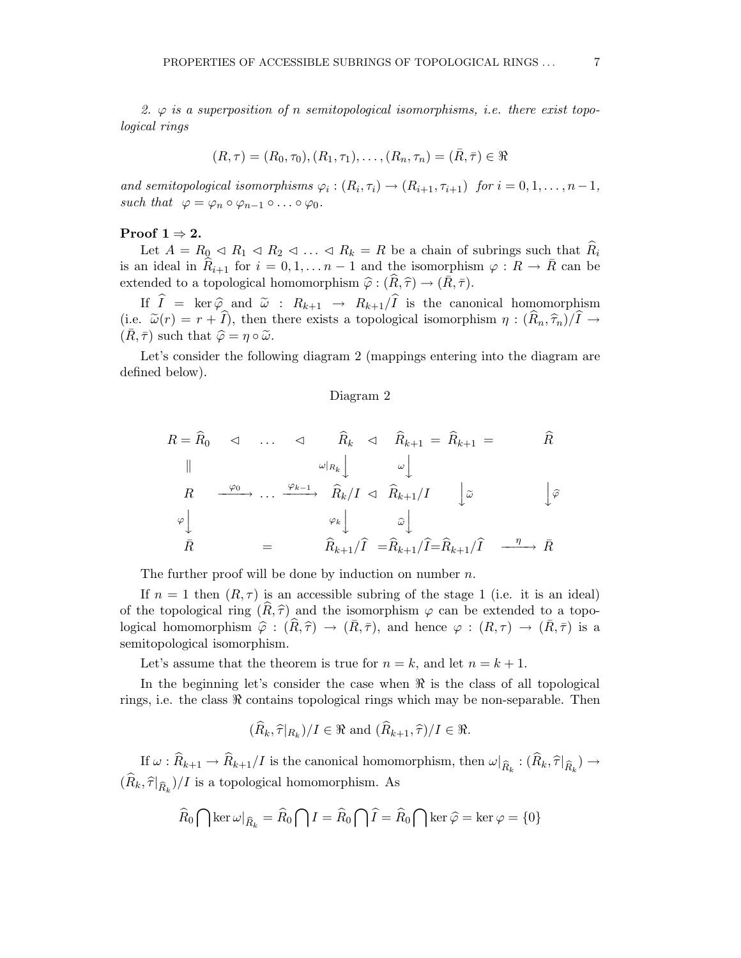2.  $\varphi$  is a superposition of n semitopological isomorphisms, i.e. there exist topological rings

$$
(R, \tau) = (R_0, \tau_0), (R_1, \tau_1), \ldots, (R_n, \tau_n) = (\bar{R}, \bar{\tau}) \in \Re
$$

and semitopological isomorphisms  $\varphi_i : (R_i, \tau_i) \to (R_{i+1}, \tau_{i+1})$  for  $i = 0, 1, \ldots, n-1$ , such that  $\varphi = \varphi_n \circ \varphi_{n-1} \circ \ldots \circ \varphi_0$ .

#### Proof  $1 \Rightarrow 2$ .

Let  $A = R_0 \triangleleft R_1 \triangleleft R_2 \triangleleft \ldots \triangleleft R_k = R$  be a chain of subrings such that  $R_i$ is an ideal in  $\hat{R}_{i+1}$  for  $i = 0, 1, \ldots n-1$  and the isomorphism  $\varphi : R \to \overline{R}$  can be extended to a topological homomorphism  $\hat{\varphi} : (\widehat{R}, \widehat{\tau}) \to (\bar{R}, \bar{\tau}).$ 

If  $\hat{I} = \ker \hat{\varphi}$  and  $\tilde{\omega}$ :  $R_{k+1} \to R_{k+1}/\hat{I}$  is the canonical homomorphism (i.e.  $\tilde{\omega}(r) = r + \hat{I}$ ), then there exists a topological isomorphism  $\eta : (\hat{R}_n, \hat{\tau}_n)/\hat{I} \to$  $(R, \bar{\tau})$  such that  $\hat{\varphi} = \eta \circ \tilde{\omega}$ .

Let's consider the following diagram 2 (mappings entering into the diagram are defined below).

### Diagram 2

$$
R = \widehat{R}_{0} \quad \triangleleft \quad \dots \quad \triangleleft \quad \widehat{R}_{k} \quad \triangleleft \quad \widehat{R}_{k+1} = \widehat{R}_{k+1} = \qquad \widehat{R}
$$
\n
$$
\parallel \qquad \qquad \omega|_{R_{k}} \qquad \qquad \omega \qquad \qquad \omega \qquad \qquad \omega
$$
\n
$$
R \quad \xrightarrow{\varphi_{0}} \dots \xrightarrow{\varphi_{k-1}} \widehat{R}_{k}/I \quad \triangleleft \quad \widehat{R}_{k+1}/I \qquad \qquad \downarrow \widetilde{\omega} \qquad \qquad \downarrow \widehat{\varphi}
$$
\n
$$
\varphi \qquad \qquad \varphi_{k} \qquad \qquad \widehat{\omega} \qquad \qquad \widehat{\omega} \qquad \qquad \downarrow
$$
\n
$$
\bar{R} \qquad \qquad = \qquad \widehat{R}_{k+1}/\widehat{I} = \widehat{R}_{k+1}/\widehat{I} = \widehat{R}_{k+1}/\widehat{I} \quad \xrightarrow{\eta} \bar{R}
$$

The further proof will be done by induction on number  $n$ .

If  $n = 1$  then  $(R, \tau)$  is an accessible subring of the stage 1 (i.e. it is an ideal) of the topological ring  $(R, \hat{\tau})$  and the isomorphism  $\varphi$  can be extended to a topological homomorphism  $\hat{\varphi}$  :  $(\widehat{R}, \widehat{\tau}) \to (\bar{R}, \bar{\tau})$ , and hence  $\varphi : (R, \tau) \to (\bar{R}, \bar{\tau})$  is a semitopological isomorphism.

Let's assume that the theorem is true for  $n = k$ , and let  $n = k + 1$ .

In the beginning let's consider the case when  $\Re$  is the class of all topological rings, i.e. the class  $\Re$  contains topological rings which may be non-separable. Then

$$
(\widehat{R}_k, \widehat{\tau}|_{R_k})/I \in \Re
$$
 and  $(\widehat{R}_{k+1}, \widehat{\tau})/I \in \Re$ .

If  $\omega: R_{k+1} \to R_{k+1}/I$  is the canonical homomorphism, then  $\omega|_{\widehat{R}_k}: (R_k, \widehat{\tau}|_{\widehat{R}_k}) \to$  $(R_k, \hat{\tau}|_{\hat{R}_k})/I$  is a topological homomorphism. As

$$
\widehat{R}_0 \bigcap \ker \omega|_{\widehat{R}_k} = \widehat{R}_0 \bigcap I = \widehat{R}_0 \bigcap \widehat{I} = \widehat{R}_0 \bigcap \ker \widehat{\varphi} = \ker \varphi = \{0\}
$$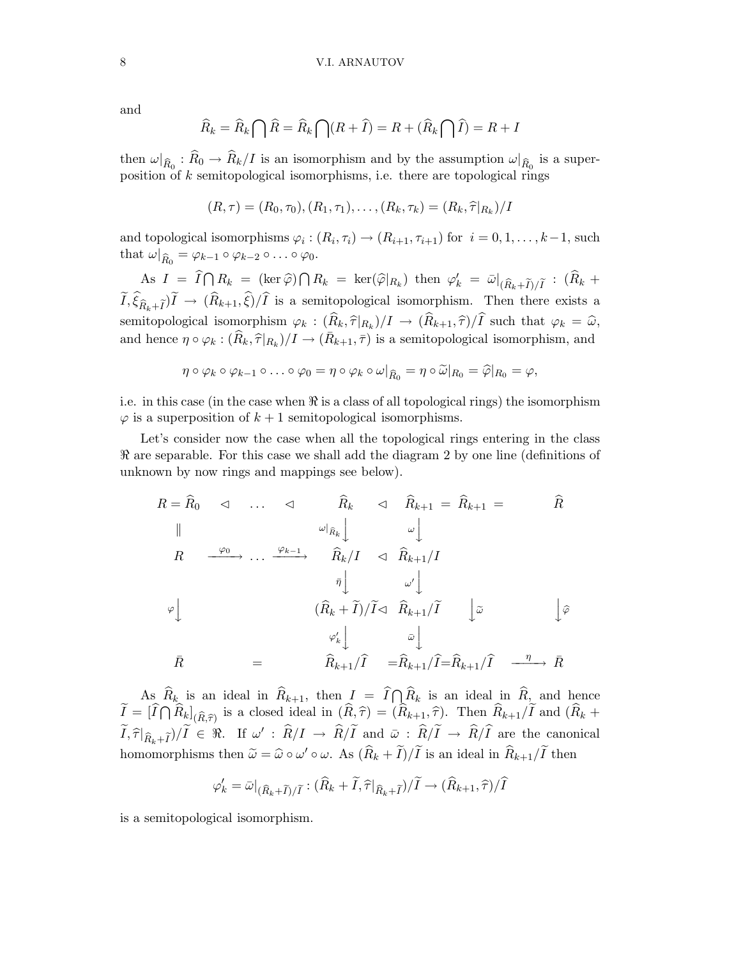and

$$
\widehat{R}_k = \widehat{R}_k \bigcap \widehat{R} = \widehat{R}_k \bigcap (R + \widehat{I}) = R + (\widehat{R}_k \bigcap \widehat{I}) = R + I
$$

then  $\omega|_{\widehat{R}_0}: R_0 \to R_k/I$  is an isomorphism and by the assumption  $\omega|_{\widehat{R}_0}$  is a superposition of k semitopological isomorphisms, i.e. there are topological rings

$$
(R,\tau) = (R_0,\tau_0), (R_1,\tau_1), \ldots, (R_k,\tau_k) = (R_k,\widehat{\tau}|_{R_k})/I
$$

and topological isomorphisms  $\varphi_i: (R_i, \tau_i) \to (R_{i+1}, \tau_{i+1})$  for  $i = 0, 1, \ldots, k-1$ , such that  $\omega|_{\widehat{R}_0} = \varphi_{k-1} \circ \varphi_{k-2} \circ \ldots \circ \varphi_0.$ 

As  $I = \widehat{I} \bigcap R_k = (\ker \widehat{\varphi}) \bigcap R_k = \ker(\widehat{\varphi}|_{R_k})$  then  $\varphi'_k = \bar{\omega}|_{(\widehat{R}_k + \widetilde{I})/\widetilde{I}} : (\widehat{R}_k + \widetilde{R}_k)$  $I, \xi_{\widehat{R}_k+\widetilde{I}})I \to (R_{k+1}, \xi)/I$  is a semitopological isomorphism. Then there exists a semitopological isomorphism  $\varphi_k : (R_k, \hat{\tau}|_{R_k})/I \to (R_{k+1}, \hat{\tau})/I$  such that  $\varphi_k = \hat{\omega}$ , and hence  $\eta \circ \varphi_k : (\widehat{R}_k, \widehat{\tau}|_{R_k})/I \to (\bar{R}_{k+1}, \bar{\tau})$  is a semitopological isomorphism, and

$$
\eta \circ \varphi_k \circ \varphi_{k-1} \circ \ldots \circ \varphi_0 = \eta \circ \varphi_k \circ \omega|_{\widehat{R}_0} = \eta \circ \widetilde{\omega}|_{R_0} = \widehat{\varphi}|_{R_0} = \varphi,
$$

i.e. in this case (in the case when  $\Re$  is a class of all topological rings) the isomorphism  $\varphi$  is a superposition of  $k+1$  semitopological isomorphisms.

Let's consider now the case when all the topological rings entering in the class ℜ are separable. For this case we shall add the diagram 2 by one line (definitions of unknown by now rings and mappings see below).

$$
R = \hat{R}_0 \quad \triangleleft \quad \dots \quad \triangleleft \quad \hat{R}_k \quad \triangleleft \quad \hat{R}_{k+1} = \hat{R}_{k+1} = \qquad \hat{R}
$$
\n
$$
\parallel \qquad \qquad \omega|_{\hat{R}_k} \qquad \qquad \omega \qquad \qquad \omega \qquad \qquad \omega
$$
\n
$$
R \quad \xrightarrow{\varphi_0} \dots \xrightarrow{\varphi_{k-1}} \quad \hat{R}_k / I \quad \triangleleft \quad \hat{R}_{k+1} / I
$$
\n
$$
\bar{\eta} \qquad \qquad \omega' \qquad \qquad \omega' \qquad \qquad \omega'
$$
\n
$$
\varphi \qquad \qquad (\hat{R}_k + \tilde{I}) / \tilde{I} \triangleleft \quad \hat{R}_{k+1} / \tilde{I} \quad \qquad \omega \qquad \qquad \varphi' \qquad \qquad \varphi' \qquad \qquad \varphi' \qquad \qquad \omega
$$
\n
$$
\bar{R} \qquad \qquad = \qquad \qquad \hat{R}_{k+1} / \tilde{I} \quad \qquad = \hat{R}_{k+1} / \tilde{I} = \hat{R}_{k+1} / \tilde{I} \quad \qquad \qquad \frac{\eta}{R} \qquad \qquad \bar{R}
$$

As  $\widehat{R}_k$  is an ideal in  $\widehat{R}_{k+1}$ , then  $I = \widehat{I} \cap \widehat{R}_k$  is an ideal in  $\widehat{R}_k$  and hence  $\widetilde{I} = [\widehat{I} \cap \widehat{R}_k]_{(\widehat{R},\widehat{\tau})}$  is a closed ideal in  $(\widehat{R},\widehat{\tau}) = (\widehat{R}_{k+1},\widehat{\tau})$ . Then  $\widehat{R}_{k+1}/\widetilde{I}$  and  $(\widehat{R}_k + \widehat{R}_{k+1})$  $\widetilde{I}, \widehat{\tau}|_{\widehat{R}_k+\widetilde{I}})/\widetilde{I} \in \Re$ . If  $\omega' : \widehat{R}/I \to \widehat{R}/\widetilde{I}$  and  $\bar{\omega} : \widehat{R}/\widetilde{I} \to \widehat{R}/\widehat{I}$  are the canonical homomorphisms then  $\tilde{\omega} = \hat{\omega} \circ \omega' \circ \omega$ . As  $(\hat{R}_k + \hat{I})/\hat{I}$  is an ideal in  $\hat{R}_{k+1}/\hat{I}$  then

$$
\varphi'_{k} = \bar{\omega}|_{(\widehat{R}_{k} + \widetilde{I})/\widetilde{I}} : (\widehat{R}_{k} + \widetilde{I}, \widehat{\tau}|_{\widehat{R}_{k} + \widetilde{I}})/\widetilde{I} \to (\widehat{R}_{k+1}, \widehat{\tau})/\widehat{I}
$$

is a semitopological isomorphism.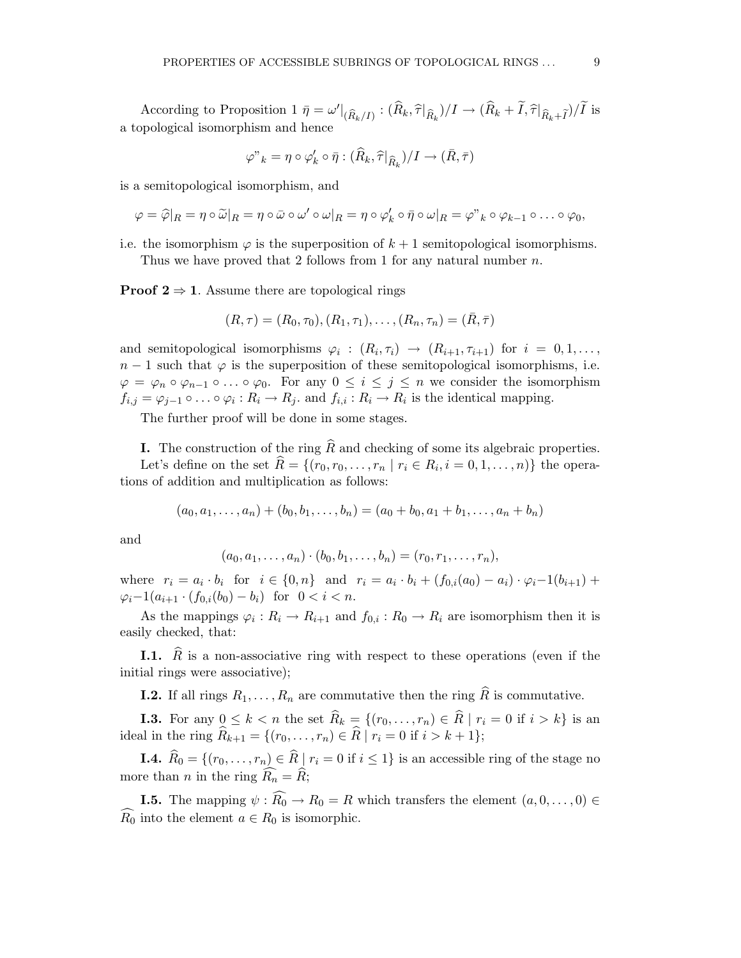According to Proposition  $1 \bar{\eta} = \omega' \vert_{(\widehat{R}_k/I)} : (\widehat{R}_k, \widehat{\tau} \vert_{\widehat{R}_k})/I \to (\widehat{R}_k + I, \widehat{\tau} \vert_{\widehat{R}_k + \widetilde{I}})/\widetilde{I}$  is a topological isomorphism and hence

$$
\varphi"_k = \eta \circ \varphi'_k \circ \bar{\eta} : (\widehat{R}_k, \widehat{\tau}|_{\widehat{R}_k})/I \to (\bar{R}, \bar{\tau})
$$

is a semitopological isomorphism, and

$$
\varphi = \widehat{\varphi}|_R = \eta \circ \widetilde{\omega}|_R = \eta \circ \bar{\omega} \circ \omega' \circ \omega|_R = \eta \circ \varphi'_k \circ \bar{\eta} \circ \omega|_R = \varphi"_k \circ \varphi_{k-1} \circ \ldots \circ \varphi_0,
$$

i.e. the isomorphism  $\varphi$  is the superposition of  $k+1$  semitopological isomorphisms. Thus we have proved that 2 follows from 1 for any natural number  $n$ .

**Proof 2**  $\Rightarrow$  1. Assume there are topological rings

$$
(R, \tau) = (R_0, \tau_0), (R_1, \tau_1), \dots, (R_n, \tau_n) = (\bar{R}, \bar{\tau})
$$

and semitopological isomorphisms  $\varphi_i : (R_i, \tau_i) \to (R_{i+1}, \tau_{i+1})$  for  $i = 0, 1, \ldots$ ,  $n-1$  such that  $\varphi$  is the superposition of these semitopological isomorphisms, i.e.  $\varphi = \varphi_n \circ \varphi_{n-1} \circ \ldots \circ \varphi_0$ . For any  $0 \leq i \leq j \leq n$  we consider the isomorphism  $f_{i,j} = \varphi_{j-1} \circ \ldots \circ \varphi_i : R_i \to R_j$  and  $f_{i,i} : R_i \to R_i$  is the identical mapping.

The further proof will be done in some stages.

**I.** The construction of the ring  $\widehat{R}$  and checking of some its algebraic properties. Let's define on the set  $R = \{(r_0, r_0, \ldots, r_n | r_i \in R_i, i = 0, 1, \ldots, n)\}$  the operations of addition and multiplication as follows:

$$
(a_0, a_1, \ldots, a_n) + (b_0, b_1, \ldots, b_n) = (a_0 + b_0, a_1 + b_1, \ldots, a_n + b_n)
$$

and

$$
(a_0, a_1, \ldots, a_n) \cdot (b_0, b_1, \ldots, b_n) = (r_0, r_1, \ldots, r_n),
$$

where  $r_i = a_i \cdot b_i$  for  $i \in \{0, n\}$  and  $r_i = a_i \cdot b_i + (f_{0,i}(a_0) - a_i) \cdot \varphi_i - 1(b_{i+1}) +$  $\varphi_i-1(a_{i+1}\cdot (f_{0,i}(b_0)-b_i))$  for  $0 < i < n$ .

As the mappings  $\varphi_i: R_i \to R_{i+1}$  and  $f_{0,i}: R_0 \to R_i$  are isomorphism then it is easily checked, that:

**I.1.**  $\hat{R}$  is a non-associative ring with respect to these operations (even if the initial rings were associative);

**I.2.** If all rings  $R_1, \ldots, R_n$  are commutative then the ring  $\widehat{R}$  is commutative.

**I.3.** For any  $0 \leq k < n$  the set  $R_k = \{(r_0, \ldots, r_n) \in R \mid r_i = 0 \text{ if } i > k\}$  is an ideal in the ring  $R_{k+1} = \{(r_0, \ldots, r_n) \in R \mid r_i = 0 \text{ if } i > k+1\};$ 

**I.4.**  $\widehat{R}_0 = \{(r_0, \ldots, r_n) \in \widehat{R} \mid r_i = 0 \text{ if } i \leq 1\}$  is an accessible ring of the stage no more than *n* in the ring  $\widehat{R_n} = \widehat{R}$ ;

**I.5.** The mapping  $\psi$  :  $\widehat{R_0} \to R_0 = R$  which transfers the element  $(a, 0, \ldots, 0) \in$  $\widehat{R_0}$  into the element  $a \in R_0$  is isomorphic.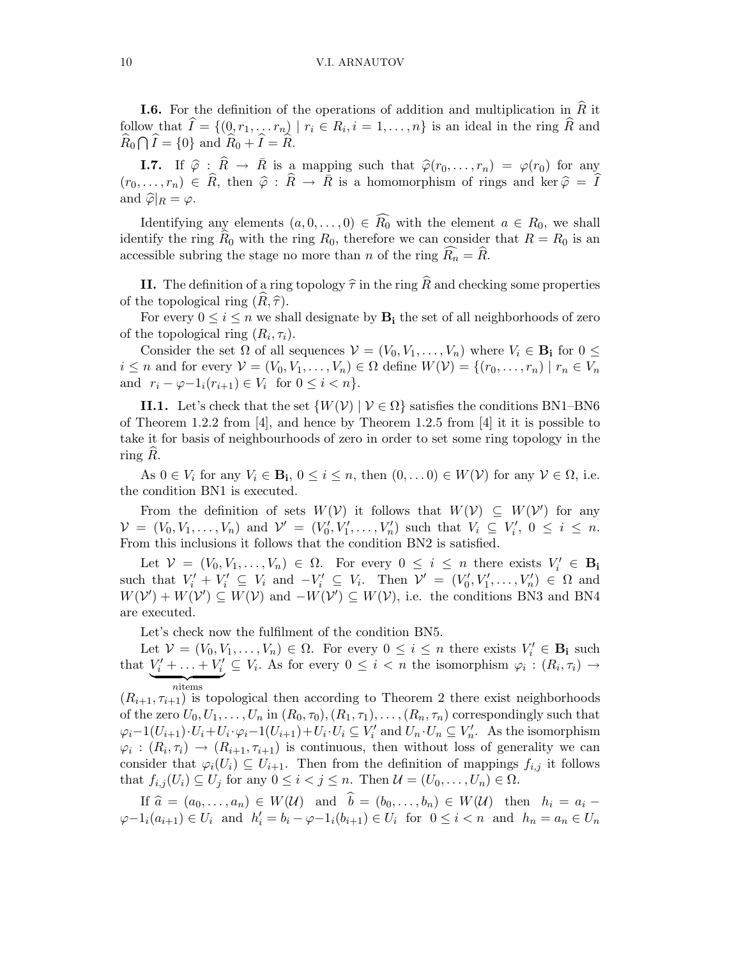#### 10 V.I. ARNAUTOV

**I.6.** For the definition of the operations of addition and multiplication in  $\widehat{R}$  it follow that  $I = \{ (0, r_1, \ldots, r_n) | r_i \in R_i, i = 1, \ldots, n \}$  is an ideal in the ring R and  $\widehat{R}_0 \bigcap \widehat{I} = \{0\}$  and  $\widehat{R}_0 + \widehat{I} = \widehat{R}$ .

**I.7.** If  $\hat{\varphi}$  :  $\hat{R} \to \bar{R}$  is a mapping such that  $\hat{\varphi}(r_0,\ldots,r_n) = \varphi(r_0)$  for any  $(r_0,\ldots,r_n) \in \widehat{R}$ , then  $\widehat{\varphi}$  :  $\widehat{R} \to \overline{R}$  is a homomorphism of rings and ker  $\widehat{\varphi} = \widehat{I}$ and  $\widehat{\varphi}|_R = \varphi$ .

Identifying any elements  $(a, 0, \ldots, 0) \in \widehat{R_0}$  with the element  $a \in R_0$ , we shall identify the ring  $\widehat{R}_0$  with the ring  $R_0$ , therefore we can consider that  $R = R_0$  is an accessible subring the stage no more than n of the ring  $\widehat{R_n} = \widehat{R}$ .

II. The definition of a ring topology  $\hat{\tau}$  in the ring  $\hat{R}$  and checking some properties of the topological ring  $(R, \hat{\tau})$ .

For every  $0 \leq i \leq n$  we shall designate by  $B_i$  the set of all neighborhoods of zero of the topological ring  $(R_i, \tau_i)$ .

Consider the set  $\Omega$  of all sequences  $\mathcal{V} = (V_0, V_1, \dots, V_n)$  where  $V_i \in \mathbf{B_i}$  for  $0 \leq$  $i \leq n$  and for every  $\mathcal{V} = (V_0, V_1, \ldots, V_n) \in \Omega$  define  $W(\mathcal{V}) = \{(r_0, \ldots, r_n) \mid r_n \in V_n\}$ and  $r_i - \varphi - 1_i(r_{i+1}) \in V_i$  for  $0 \le i < n$ .

II.1. Let's check that the set  $\{W(V) | V \in \Omega\}$  satisfies the conditions BN1–BN6 of Theorem 1.2.2 from [4], and hence by Theorem 1.2.5 from [4] it it is possible to take it for basis of neighbourhoods of zero in order to set some ring topology in the ring  $R$ .

As  $0 \in V_i$  for any  $V_i \in \mathbf{B_i}$ ,  $0 \le i \le n$ , then  $(0, \ldots 0) \in W(\mathcal{V})$  for any  $\mathcal{V} \in \Omega$ , i.e. the condition BN1 is executed.

From the definition of sets  $W(\mathcal{V})$  it follows that  $W(\mathcal{V}) \subseteq W(\mathcal{V}')$  for any  $\mathcal{V} = (V_0, V_1, \ldots, V_n)$  and  $\mathcal{V}' = (V'_0, V'_1, \ldots, V'_n)$  such that  $V_i \subseteq V'_i$ ,  $0 \leq i \leq n$ . From this inclusions it follows that the condition BN2 is satisfied.

Let  $V = (V_0, V_1, \ldots, V_n) \in \Omega$ . For every  $0 \leq i \leq n$  there exists  $V'_i \in \mathbf{B}_i$ such that  $V'_i + V'_i \subseteq V_i$  and  $-V'_i \subseteq V_i$ . Then  $\mathcal{V}' = (V'_0, V'_1, \dots, V'_n) \in \Omega$  and  $W(\mathcal{V}') + W(\mathcal{V}') \subseteq W(\mathcal{V})$  and  $-W(\mathcal{V}') \subseteq W(\mathcal{V})$ , i.e. the conditions BN3 and BN4 are executed.

Let's check now the fulfilment of the condition BN5.

Let  $V = (V_0, V_1, \ldots, V_n) \in \Omega$ . For every  $0 \leq i \leq n$  there exists  $V'_i \in \mathbf{B_i}$  such that  $\underbrace{V'_i + \ldots + V'_i}_{\text{mitem}}$ nitems  $\subseteq V_i$ . As for every  $0 \leq i < n$  the isomorphism  $\varphi_i : (R_i, \tau_i) \to$ 

 $(R_{i+1}, \tau_{i+1})$  is topological then according to Theorem 2 there exist neighborhoods of the zero  $U_0, U_1, \ldots, U_n$  in  $(R_0, \tau_0), (R_1, \tau_1), \ldots, (R_n, \tau_n)$  correspondingly such that  $\varphi_i-1(U_{i+1})\cdot U_i+U_i\cdot\varphi_i-1(U_{i+1})+U_i\cdot U_i\subseteq V_i'$  and  $U_n\cdot U_n\subseteq V_n'$ . As the isomorphism  $\varphi_i: (R_i, \tau_i) \to (R_{i+1}, \tau_{i+1})$  is continuous, then without loss of generality we can consider that  $\varphi_i(U_i) \subseteq U_{i+1}$ . Then from the definition of mappings  $f_{i,j}$  it follows that  $f_{i,j}(U_i) \subseteq U_j$  for any  $0 \leq i < j \leq n$ . Then  $\mathcal{U} = (U_0, \ldots, U_n) \in \Omega$ .

If  $\hat{a} = (a_0, \ldots, a_n) \in W(\mathcal{U})$  and  $\hat{b} = (b_0, \ldots, b_n) \in W(\mathcal{U})$  then  $h_i = a_i \varphi-1_i(a_{i+1}) \in U_i$  and  $h'_i = b_i - \varphi-1_i(b_{i+1}) \in U_i$  for  $0 \leq i < n$  and  $h_n = a_n \in U_n$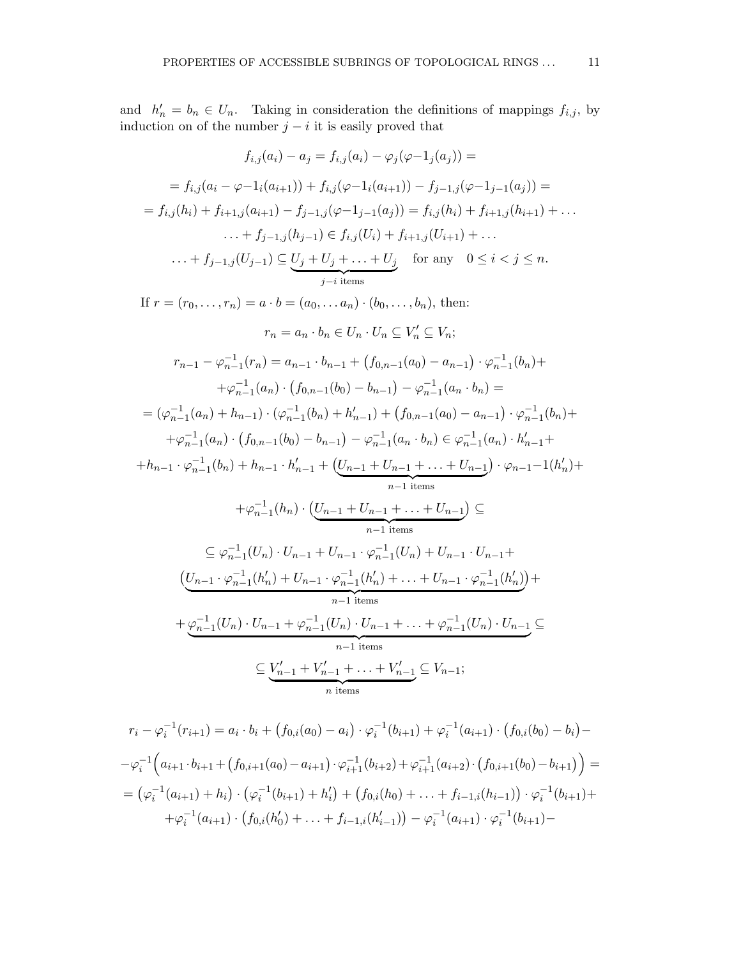and  $h'_n = b_n \in U_n$ . Taking in consideration the definitions of mappings  $f_{i,j}$ , by induction on of the number  $j - i$  it is easily proved that

$$
f_{i,j}(a_i) - a_j = f_{i,j}(a_i) - \varphi_j(\varphi - 1_j(a_j)) =
$$
\n
$$
= f_{i,j}(a_i - \varphi - 1_i(a_{i+1})) + f_{i,j}(\varphi - 1_i(a_{i+1})) - f_{j-1,j}(\varphi - 1_{j-1}(a_j)) =
$$
\n
$$
= f_{i,j}(h_i) + f_{i+1,j}(a_{i+1}) - f_{j-1,j}(\varphi - 1_{j-1}(a_j)) = f_{i,j}(h_i) + f_{i+1,j}(h_{i+1}) + \dots
$$
\n
$$
\dots + f_{j-1,j}(b_{j-1}) \in f_{i,j}(U_i) + f_{i+1,j}(U_{i+1}) + \dots
$$
\n
$$
\dots + f_{j-1,j}(U_{j-1}) \subseteq \underbrace{U_j + U_j + \dots + U_j}_{j-i \text{ items}} \text{ for any } 0 \le i < j \le n.
$$
\nIf  $r = (r_0, \dots, r_n) = a \cdot b = (a_0, \dots, a_n) \cdot (b_0, \dots, b_n)$ , then:\n
$$
r_n = a_n \cdot b_n \in U_n \subseteq V'_n \subseteq V_n;
$$
\n
$$
r_{n-1} - \varphi_{n-1}^{-1}(r_n) = a_{n-1} \cdot b_{n-1} + (f_{0,n-1}(a_0) - a_{n-1}) \cdot \varphi_{n-1}^{-1}(b_n) +
$$
\n
$$
+ \varphi_{n-1}^{-1}(a_n) \cdot (f_{0,n-1}(b_0) - b_{n-1}) - \varphi_{n-1}^{-1}(a_n \cdot b_n) =
$$
\n
$$
= (\varphi_{n-1}^{-1}(a_n) + h_{n-1}) \cdot (\varphi_{n-1}^{-1}(b_n) + h'_{n-1}) + (f_{0,n-1}(a_0) - a_{n-1}) \cdot \varphi_{n-1}^{-1}(b_n) +
$$
\n
$$
+ \varphi_{n-1}^{-1}(a_n) \cdot (f_{0,n-1}(b_0) - b_{n-1}) - \varphi_{n-1}^{-1}(a_n \cdot b_n) \in \varphi_{n-1}^{-1}(a_n) \cdot h'_{n-1} +
$$
\n
$$
+ \varphi_{n-1}^{-1}(b_n) + h_{n-1} \cdot
$$

$$
r_{i} - \varphi_{i}^{-1}(r_{i+1}) = a_{i} \cdot b_{i} + (f_{0,i}(a_{0}) - a_{i}) \cdot \varphi_{i}^{-1}(b_{i+1}) + \varphi_{i}^{-1}(a_{i+1}) \cdot (f_{0,i}(b_{0}) - b_{i}) -
$$
  

$$
-\varphi_{i}^{-1}\Big(a_{i+1} \cdot b_{i+1} + (f_{0,i+1}(a_{0}) - a_{i+1}) \cdot \varphi_{i+1}^{-1}(b_{i+2}) + \varphi_{i+1}^{-1}(a_{i+2}) \cdot (f_{0,i+1}(b_{0}) - b_{i+1})\Big) =
$$

$$
= (\varphi_{i}^{-1}(a_{i+1}) + h_{i}) \cdot (\varphi_{i}^{-1}(b_{i+1}) + h_{i}') + (f_{0,i}(h_{0}) + \dots + f_{i-1,i}(h_{i-1})) \cdot \varphi_{i}^{-1}(b_{i+1}) +
$$

$$
+ \varphi_{i}^{-1}(a_{i+1}) \cdot (f_{0,i}(h_{0}') + \dots + f_{i-1,i}(h_{i-1}')) - \varphi_{i}^{-1}(a_{i+1}) \cdot \varphi_{i}^{-1}(b_{i+1}) -
$$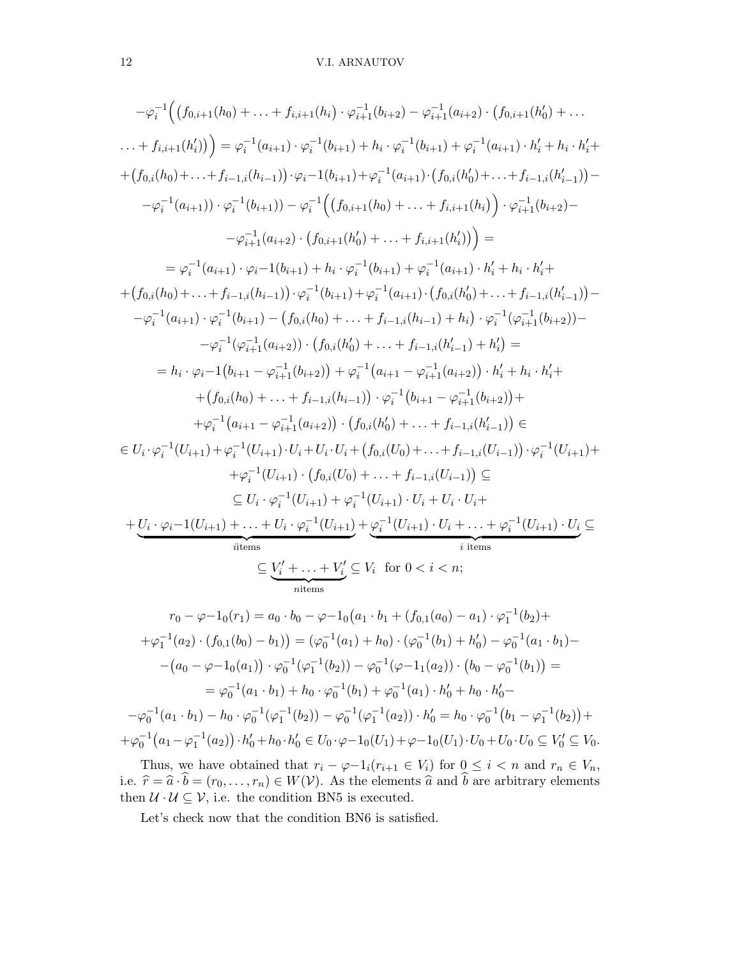$$
-\varphi_{i}^{-1}((f_{0,i+1}(h_{0}) + ... + f_{i,i+1}(h_{i}) \cdot \varphi_{i+1}^{-1}(b_{i+2}) - \varphi_{i+1}^{-1}(a_{i+2}) \cdot (f_{0,i+1}(h'_{0}) + ...
$$
  
\n
$$
... + f_{i,i+1}(h'_{i})) = \varphi_{i}^{-1}(a_{i+1}) \cdot \varphi_{i}^{-1}(b_{i+1}) + h_{i} \cdot \varphi_{i}^{-1}(b_{i+1}) + \varphi_{i}^{-1}(a_{i+1}) \cdot h'_{i} + h_{i} \cdot h'_{i} + (f_{0,i}(h_{0}) + ... + f_{i-1,i}(h_{i-1})) \cdot \varphi_{i}^{-1}(b_{i+1}) + \varphi_{i}^{-1}(a_{i+1}) \cdot (f_{0,i}(h'_{0}) + ... + f_{i-1,i}(h'_{i-1})) -
$$
  
\n
$$
-\varphi_{i}^{-1}(a_{i+1})) \cdot \varphi_{i}^{-1}(b_{i+1})) - \varphi_{i}^{-1}((f_{0,i+1}(h_{0}) + ... + f_{i,i+1}(h_{i})) \cdot \varphi_{i+1}^{-1}(b_{i+2}) -
$$
  
\n
$$
-\varphi_{i+1}^{-1}(a_{i+2}) \cdot (f_{0,i+1}(h'_{0}) + ... + f_{i,i+1}(h'_{i})) =
$$
  
\n
$$
= \varphi_{i}^{-1}(a_{i+1}) \cdot \varphi_{i}^{-1}(b_{i+1}) + h_{i} \cdot \varphi_{i}^{-1}(b_{i+1}) + \varphi_{i}^{-1}(a_{i+1}) \cdot h'_{i} + h_{i} \cdot h'_{i} +
$$
  
\n
$$
+ (f_{0,i}(h_{0}) + ... + f_{i-1,i}(h_{i-1})) \cdot \varphi_{i}^{-1}(b_{i+1}) + \varphi_{i}^{-1}(a_{i+1}) \cdot (f_{0,i}(h'_{0}) + ... + f_{i-1,i}(h'_{i-1})) -
$$
  
\n
$$
-\varphi_{i}^{-1}(a_{i+1}) \cdot \varphi_{i}^{-1}(b_{i+1}) - (f_{0,i}(h_{0}) + ... + f_{i-1,i}(h'_{i-1}) + h'_{i}) =
$$
  
\n
$$
= h_{i} \
$$

$$
r_0 - \varphi - 1_0(r_1) = a_0 \cdot b_0 - \varphi - 1_0(a_1 \cdot b_1 + (f_{0,1}(a_0) - a_1) \cdot \varphi_1^{-1}(b_2) +
$$
  
\n
$$
+ \varphi_1^{-1}(a_2) \cdot (f_{0,1}(b_0) - b_1) = (\varphi_0^{-1}(a_1) + h_0) \cdot (\varphi_0^{-1}(b_1) + h_0') - \varphi_0^{-1}(a_1 \cdot b_1) -
$$
  
\n
$$
- (a_0 - \varphi - 1_0(a_1)) \cdot \varphi_0^{-1}(\varphi_1^{-1}(b_2)) - \varphi_0^{-1}(\varphi - 1_1(a_2)) \cdot (b_0 - \varphi_0^{-1}(b_1)) =
$$
  
\n
$$
= \varphi_0^{-1}(a_1 \cdot b_1) + h_0 \cdot \varphi_0^{-1}(b_1) + \varphi_0^{-1}(a_1) \cdot h_0' + h_0 \cdot h_0' -
$$
  
\n
$$
- \varphi_0^{-1}(a_1 \cdot b_1) - h_0 \cdot \varphi_0^{-1}(\varphi_1^{-1}(b_2)) - \varphi_0^{-1}(\varphi_1^{-1}(a_2)) \cdot h_0' = h_0 \cdot \varphi_0^{-1}(b_1 - \varphi_1^{-1}(b_2)) +
$$
  
\n
$$
+ \varphi_0^{-1}(a_1 - \varphi_1^{-1}(a_2)) \cdot h_0' + h_0 \cdot h_0' \in U_0 \cdot \varphi - 1_0(U_1) + \varphi - 1_0(U_1) \cdot U_0 + U_0 \cdot U_0 \subseteq V_0' \subseteq V_0.
$$

Thus, we have obtained that  $r_i - \varphi - 1_i(r_{i+1} \in V_i)$  for  $0 \leq i < n$  and  $r_n \in V_n$ , i.e.  $\hat{r} = \hat{a} \cdot b = (r_0, \ldots, r_n) \in W(V)$ . As the elements  $\hat{a}$  and b are arbitrary elements then  $\mathcal{U} \cdot \mathcal{U} \subseteq \mathcal{V}$ , i.e. the condition BN5 is executed.

Let's check now that the condition BN6 is satisfied.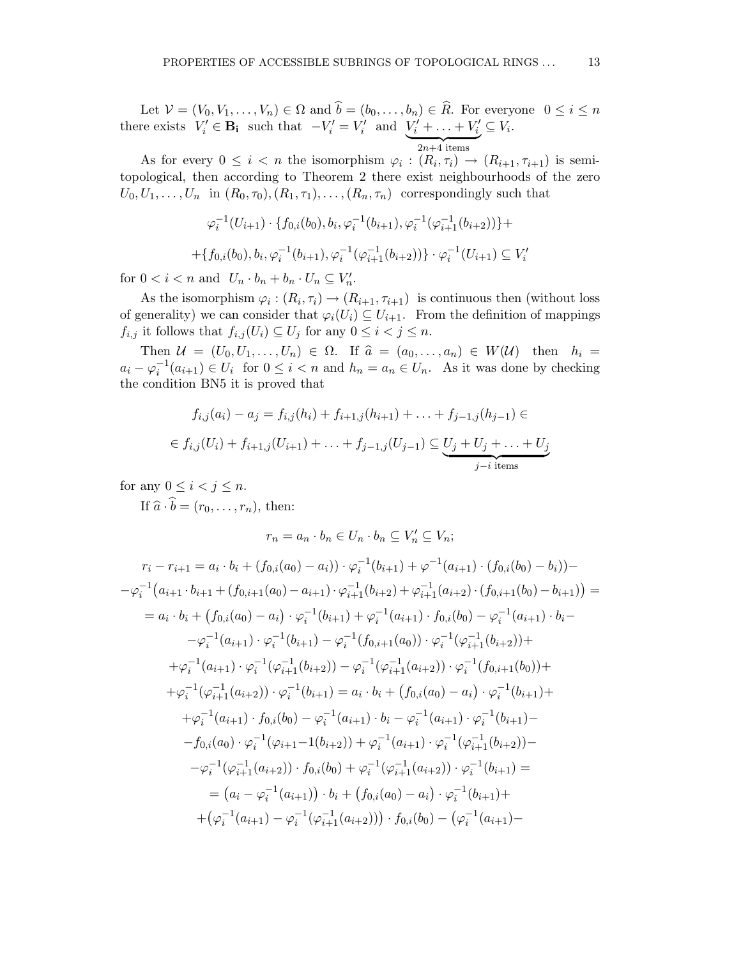Let  $V = (V_0, V_1, \ldots, V_n) \in \Omega$  and  $b = (b_0, \ldots, b_n) \in R$ . For everyone  $0 \le i \le n$ there exists  $V'_i \in \mathbf{B_i}$  such that  $-V'_i = V'_i$  and  $\underbrace{V'_i + \ldots + V'_i}_{2n+4 \text{ items}}$  $\subseteq V_i$ .

As for every  $0 \leq i < n$  the isomorphism  $\varphi_i : (R_i, \tau_i) \to (R_{i+1}, \tau_{i+1})$  is semitopological, then according to Theorem 2 there exist neighbourhoods of the zero  $U_0, U_1, \ldots, U_n$  in  $(R_0, \tau_0), (R_1, \tau_1), \ldots, (R_n, \tau_n)$  correspondingly such that

$$
\varphi_i^{-1}(U_{i+1}) \cdot \{ f_{0,i}(b_0), b_i, \varphi_i^{-1}(b_{i+1}), \varphi_i^{-1}(\varphi_{i+1}^{-1}(b_{i+2})) \} +
$$
  
+ 
$$
\{ f_{0,i}(b_0), b_i, \varphi_i^{-1}(b_{i+1}), \varphi_i^{-1}(\varphi_{i+1}^{-1}(b_{i+2})) \} \cdot \varphi_i^{-1}(U_{i+1}) \subseteq V_i'
$$

for  $0 < i < n$  and  $U_n \cdot b_n + b_n \cdot U_n \subseteq V'_n$ .

As the isomorphism  $\varphi_i: (R_i, \tau_i) \to (R_{i+1}, \tau_{i+1})$  is continuous then (without loss of generality) we can consider that  $\varphi_i(U_i) \subseteq U_{i+1}$ . From the definition of mappings  $f_{i,j}$  it follows that  $f_{i,j}(U_i) \subseteq U_j$  for any  $0 \leq i < j \leq n$ .

Then  $\mathcal{U} = (U_0, U_1, \ldots, U_n) \in \Omega$ . If  $\hat{a} = (a_0, \ldots, a_n) \in W(\mathcal{U})$  then  $h_i =$  $a_i - \varphi_i^{-1}(a_{i+1}) \in U_i$  for  $0 \leq i < n$  and  $h_n = a_n \in U_n$ . As it was done by checking the condition BN5 it is proved that

$$
f_{i,j}(a_i) - a_j = f_{i,j}(h_i) + f_{i+1,j}(h_{i+1}) + \ldots + f_{j-1,j}(h_{j-1}) \in
$$
  

$$
\in f_{i,j}(U_i) + f_{i+1,j}(U_{i+1}) + \ldots + f_{j-1,j}(U_{j-1}) \subseteq \underbrace{U_j + U_j + \ldots + U_j}_{j-i \text{ items}}
$$

for any  $0 \leq i \leq j \leq n$ .

If  $\hat{a} \cdot \hat{b} = (r_0, \ldots, r_n)$ , then:

$$
r_n = a_n \cdot b_n \in U_n \cdot b_n \subseteq V'_n \subseteq V_n;
$$
  
\n
$$
r_i - r_{i+1} = a_i \cdot b_i + (f_{0,i}(a_0) - a_i)) \cdot \varphi_i^{-1}(b_{i+1}) + \varphi^{-1}(a_{i+1}) \cdot (f_{0,i}(b_0) - b_i)) -
$$
  
\n
$$
-\varphi_i^{-1}(a_{i+1} \cdot b_{i+1} + (f_{0,i+1}(a_0) - a_{i+1}) \cdot \varphi_{i+1}^{-1}(b_{i+2}) + \varphi_{i+1}^{-1}(a_{i+2}) \cdot (f_{0,i+1}(b_0) - b_{i+1})) =
$$
  
\n
$$
= a_i \cdot b_i + (f_{0,i}(a_0) - a_i) \cdot \varphi_i^{-1}(b_{i+1}) + \varphi_i^{-1}(a_{i+1}) \cdot f_{0,i}(b_0) - \varphi_i^{-1}(a_{i+1}) \cdot b_i -
$$
  
\n
$$
-\varphi_i^{-1}(a_{i+1}) \cdot \varphi_i^{-1}(b_{i+1}) - \varphi_i^{-1}(f_{0,i+1}(a_0)) \cdot \varphi_i^{-1}(\varphi_{i+1}^{-1}(b_{i+2})) +
$$
  
\n
$$
+ \varphi_i^{-1}(a_{i+1}) \cdot \varphi_i^{-1}(\varphi_{i+1}^{-1}(b_{i+2})) - \varphi_i^{-1}(\varphi_{i+1}^{-1}(a_{i+2})) \cdot \varphi_i^{-1}(f_{0,i+1}(b_0)) +
$$
  
\n
$$
+ \varphi_i^{-1}(\varphi_{i+1}^{-1}(a_{i+2})) \cdot \varphi_i^{-1}(b_{i+1}) = a_i \cdot b_i + (f_{0,i}(a_0) - a_i) \cdot \varphi_i^{-1}(b_{i+1}) +
$$
  
\n
$$
+ \varphi_i^{-1}(a_{i+1}) \cdot f_{0,i}(b_0) - \varphi_i^{-1}(a_{i+1}) \cdot b_i - \varphi_i^{-1}(a_{i+1}) \cdot \varphi_i^{-1}(b_{i+1}) -
$$
  
\n
$$
- f_{0,i}(a_0) \cdot \varphi_i^{-1}(\varphi_{i+1} - 1(b_{i+2})) + \varphi_i^{-1}(a_{i+1}) \cdot \varphi_i^{-1}(\varphi_{i+1}^{-1
$$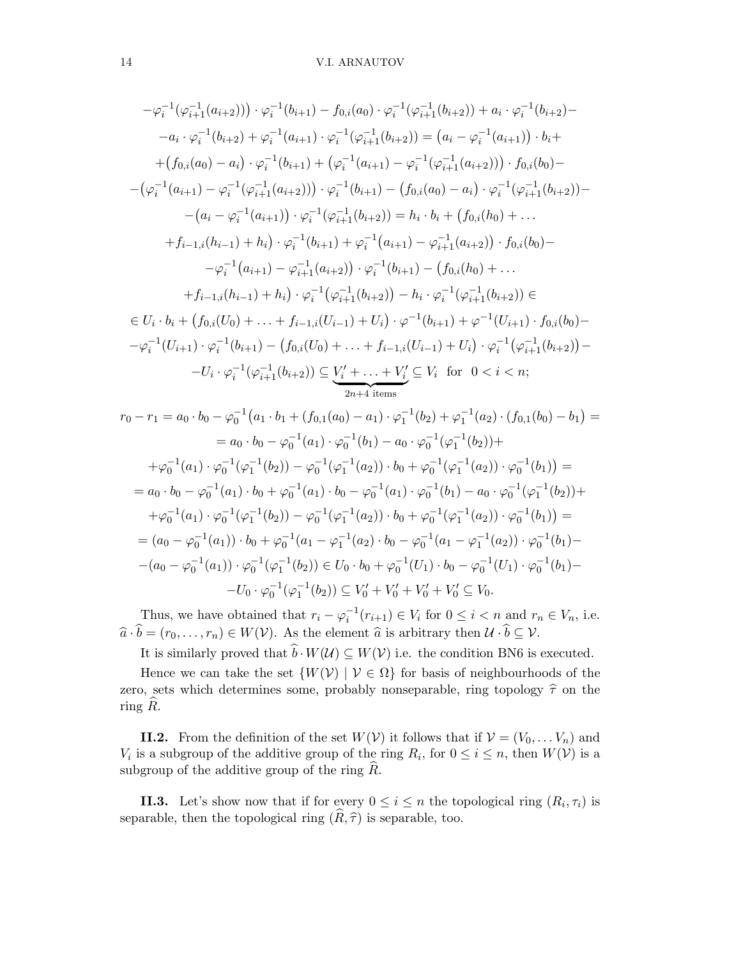$$
-\varphi_{i}^{-1}(\varphi_{i+1}^{-1}(a_{i+2}))) \cdot \varphi_{i}^{-1}(b_{i+1}) - f_{0,i}(a_{0}) \cdot \varphi_{i}^{-1}(\varphi_{i+1}^{-1}(b_{i+2})) + a_{i} \cdot \varphi_{i}^{-1}(b_{i+2}) - a_{i} \cdot \varphi_{i}^{-1}(b_{i+2}) + \varphi_{i}^{-1}(a_{i+1}) \cdot \varphi_{i}^{-1}(\varphi_{i+1}^{-1}(b_{i+2})) = (a_{i} - \varphi_{i}^{-1}(a_{i+1})) \cdot b_{i} +
$$
  
+ 
$$
(f_{0,i}(a_{0}) - a_{i}) \cdot \varphi_{i}^{-1}(b_{i+1}) + (\varphi_{i}^{-1}(a_{i+1}) - \varphi_{i}^{-1}(\varphi_{i+1}^{-1}(a_{i+2}))) \cdot f_{0,i}(b_{0}) -
$$
  
- 
$$
(\varphi_{i}^{-1}(a_{i+1}) - \varphi_{i}^{-1}(\varphi_{i+1}^{-1}(a_{i+2}))) \cdot \varphi_{i}^{-1}(b_{i+1}) - (f_{0,i}(a_{0}) - a_{i}) \cdot \varphi_{i}^{-1}(\varphi_{i+1}^{-1}(b_{i+2})) -
$$
  
- 
$$
(a_{i} - \varphi_{i}^{-1}(a_{i+1})) \cdot \varphi_{i}^{-1}(\varphi_{i+1}^{-1}(b_{i+2})) = h_{i} \cdot b_{i} + (f_{0,i}(h_{0}) + ... +
$$
  
+ 
$$
f_{i-1,i}(h_{i-1}) + h_{i}) \cdot \varphi_{i}^{-1}(b_{i+1}) + \varphi_{i}^{-1}(a_{i+1}) - \varphi_{i+1}^{-1}(a_{i+2}) \cdot f_{0,i}(b_{0}) -
$$
  
- 
$$
\varphi_{i}^{-1}(a_{i+1}) - \varphi_{i+1}^{-1}(a_{i+2}) \cdot \varphi_{i}^{-1}(b_{i+1}) - (f_{0,i}(h_{0}) + ... +
$$
  
+ 
$$
f_{i-1,i}(h_{i-1}) + h_{i}) \cdot \varphi_{i}^{-1}(\varphi_{i+1}^{-1}(b_{i+2})) - h_{i} \cdot \varphi_{i}^{-1}(\varphi_{i+1}^{-1}(b_{i+2})) \in
$$

$$
= a_0 \cdot b_0 - \varphi_0^{-1}(a_1) \cdot \varphi_0^{-1}(b_1) - a_0 \cdot \varphi_0^{-1}(\varphi_1^{-1}(b_2)) +
$$
  
\n
$$
+ \varphi_0^{-1}(a_1) \cdot \varphi_0^{-1}(\varphi_1^{-1}(b_2)) - \varphi_0^{-1}(\varphi_1^{-1}(a_2)) \cdot b_0 + \varphi_0^{-1}(\varphi_1^{-1}(a_2)) \cdot \varphi_0^{-1}(b_1) =
$$
  
\n
$$
= a_0 \cdot b_0 - \varphi_0^{-1}(a_1) \cdot b_0 + \varphi_0^{-1}(a_1) \cdot b_0 - \varphi_0^{-1}(a_1) \cdot \varphi_0^{-1}(b_1) - a_0 \cdot \varphi_0^{-1}(\varphi_1^{-1}(b_2)) +
$$
  
\n
$$
+ \varphi_0^{-1}(a_1) \cdot \varphi_0^{-1}(\varphi_1^{-1}(b_2)) - \varphi_0^{-1}(\varphi_1^{-1}(a_2)) \cdot b_0 + \varphi_0^{-1}(\varphi_1^{-1}(a_2)) \cdot \varphi_0^{-1}(b_1) =
$$
  
\n
$$
= (a_0 - \varphi_0^{-1}(a_1)) \cdot b_0 + \varphi_0^{-1}(a_1 - \varphi_1^{-1}(a_2) \cdot b_0 - \varphi_0^{-1}(a_1 - \varphi_1^{-1}(a_2)) \cdot \varphi_0^{-1}(b_1) -
$$
  
\n
$$
- (a_0 - \varphi_0^{-1}(a_1)) \cdot \varphi_0^{-1}(\varphi_1^{-1}(b_2)) \in U_0 \cdot b_0 + \varphi_0^{-1}(U_1) \cdot b_0 - \varphi_0^{-1}(U_1) \cdot \varphi_0^{-1}(b_1) -
$$
  
\n
$$
- U_0 \cdot \varphi_0^{-1}(\varphi_1^{-1}(b_2)) \subseteq V'_0 + V'_0 + V'_0 + V'_0 \subseteq V_0.
$$

Thus, we have obtained that  $r_i - \varphi_i^{-1}(r_{i+1}) \in V_i$  for  $0 \le i < n$  and  $r_n \in V_n$ , i.e.  $\widehat{a} \cdot \widehat{b} = (r_0,\ldots,r_n) \in W(\mathcal{V})$ . As the element  $\widehat{a}$  is arbitrary then  $\mathcal{U} \cdot \widehat{b} \subseteq \mathcal{V}$ .

It is similarly proved that  $\hat{b} \cdot W(\mathcal{U}) \subseteq W(\mathcal{V})$  i.e. the condition BN6 is executed.

Hence we can take the set  $\{W(V) | V \in \Omega\}$  for basis of neighbourhoods of the zero, sets which determines some, probably nonseparable, ring topology  $\hat{\tau}$  on the ring  $R$ .

**II.2.** From the definition of the set  $W(V)$  it follows that if  $V = (V_0, \ldots V_n)$  and  $V_i$  is a subgroup of the additive group of the ring  $R_i$ , for  $0 \le i \le n$ , then  $W(\mathcal{V})$  is a subgroup of the additive group of the ring  $R$ .

**II.3.** Let's show now that if for every  $0 \leq i \leq n$  the topological ring  $(R_i, \tau_i)$  is separable, then the topological ring  $(\widehat{R}, \widehat{\tau})$  is separable, too.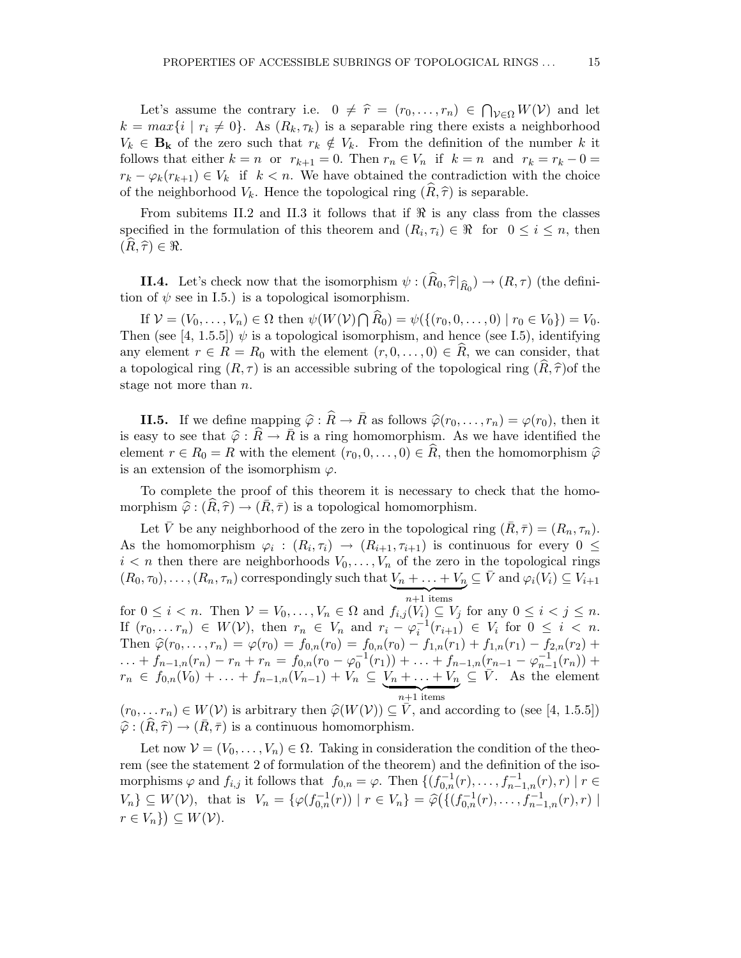Let's assume the contrary i.e.  $0 \neq \hat{r} = (r_0, \ldots, r_n) \in \bigcap_{\mathcal{V} \in \Omega} W(\mathcal{V})$  and let  $k = max\{i \mid r_i \neq 0\}$ . As  $(R_k, \tau_k)$  is a separable ring there exists a neighborhood  $V_k \in \mathbf{B_k}$  of the zero such that  $r_k \notin V_k$ . From the definition of the number k it follows that either  $k = n$  or  $r_{k+1} = 0$ . Then  $r_n \in V_n$  if  $k = n$  and  $r_k = r_k - 0 =$  $r_k - \varphi_k(r_{k+1}) \in V_k$  if  $k < n$ . We have obtained the contradiction with the choice of the neighborhood  $V_k$ . Hence the topological ring  $(\tilde{R}, \hat{\tau})$  is separable.

From subitems II.2 and II.3 it follows that if  $\Re$  is any class from the classes specified in the formulation of this theorem and  $(R_i, \tau_i) \in \Re$  for  $0 \leq i \leq n$ , then  $(R, \hat{\tau}) \in \Re$ .

**II.4.** Let's check now that the isomorphism  $\psi : (R_0, \hat{\tau}|_{\hat{R}_0}) \to (R, \tau)$  (the definition of  $\psi$  see in I.5.) is a topological isomorphism.

If  $V = (V_0, \ldots, V_n) \in \Omega$  then  $\psi(W(V) \cap \widehat{R}_0) = \psi(\{(r_0, 0, \ldots, 0) \mid r_0 \in V_0\}) = V_0$ . Then (see [4, 1.5.5])  $\psi$  is a topological isomorphism, and hence (see I.5), identifying any element  $r \in R = R_0$  with the element  $(r, 0, \ldots, 0) \in R$ , we can consider, that a topological ring  $(R, \tau)$  is an accessible subring of the topological ring  $(R, \hat{\tau})$  of the stage not more than n.

**II.5.** If we define mapping  $\hat{\varphi} : \hat{R} \to \bar{R}$  as follows  $\hat{\varphi}(r_0,\ldots,r_n) = \varphi(r_0)$ , then it is easy to see that  $\hat{\varphi} : \hat{R} \to \bar{R}$  is a ring homomorphism. As we have identified the element  $r \in R_0 = R$  with the element  $(r_0, 0, \ldots, 0) \in R$ , then the homomorphism  $\hat{\varphi}$ is an extension of the isomorphism  $\varphi$ .

To complete the proof of this theorem it is necessary to check that the homomorphism  $\hat{\varphi} : (R, \hat{\tau}) \to (R, \bar{\tau})$  is a topological homomorphism.

Let V be any neighborhood of the zero in the topological ring  $(R, \overline{\tau}) = (R_n, \tau_n)$ . As the homomorphism  $\varphi_i : (R_i, \tau_i) \to (R_{i+1}, \tau_{i+1})$  is continuous for every  $0 \leq$  $i < n$  then there are neighborhoods  $V_0, \ldots, V_n$  of the zero in the topological rings  $(R_0,\tau_0),\ldots,(R_n,\tau_n)$  correspondingly such that  $V_n+\ldots+V_n$  $\overbrace{n+1 \text{ items}}$  $\subseteq \bar{V}$  and  $\varphi_i(V_i) \subseteq V_{i+1}$ 

for  $0 \leq i < n$ . Then  $V = V_0, \ldots, V_n \in \Omega$  and  $f_{i,j}(V_i) \subseteq V_j$  for any  $0 \leq i < j \leq n$ . If  $(r_0, \ldots r_n) \in W(\mathcal{V})$ , then  $r_n \in V_n$  and  $r_i - \varphi_i^{-1}(r_{i+1}) \in V_i$  for  $0 \leq i < n$ . Then  $\hat{\varphi}(r_0,\ldots,r_n) = \varphi(r_0) = f_{0,n}(r_0) = f_{0,n}(r_0) - f_{1,n}(r_1) + f_{1,n}(r_1) - f_{2,n}(r_2) +$  $\dots + f_{n-1,n}(r_n) - r_n + r_n = f_{0,n}(r_0 - \varphi_0^{-1}(r_1)) + \dots + f_{n-1,n}(r_{n-1} - \varphi_{n-1}^{-1}(r_n)) +$  $r_n \in f_{0,n}(V_0) + \ldots + f_{n-1,n}(V_{n-1}) + V_n \subseteq V_n + \ldots + V_n$  $\overbrace{n+1 \text{ items}}$  $\subseteq \overline{V}$ . As the element

 $(r_0,\ldots r_n) \in W(V)$  is arbitrary then  $\hat{\varphi}(W(V)) \subseteq V$ , and according to (see [4, 1.5.5])  $\hat{\varphi} : (\hat{R}, \hat{\tau}) \to (\bar{R}, \bar{\tau})$  is a continuous homomorphism.

Let now  $\mathcal{V} = (V_0, \ldots, V_n) \in \Omega$ . Taking in consideration the condition of the theorem (see the statement 2 of formulation of the theorem) and the definition of the isomorphisms  $\varphi$  and  $f_{i,j}$  it follows that  $f_{0,n} = \varphi$ . Then  $\{(f_{0,n}^{-1}(r), \ldots, f_{n-1,n}^{-1}(r), r) \mid r \in$  $V_n$ }  $\subseteq W(\mathcal{V})$ , that is  $V_n = \{ \varphi(f_{0,n}^{-1}(r)) \mid r \in V_n \} = \widehat{\varphi}(\{ (f_{0,n}^{-1}(r), \ldots, f_{n-1,n}^{-1}(r), r) \mid r \in V_n \})$  $r \in V_n$ } $\subseteq W(\mathcal{V}).$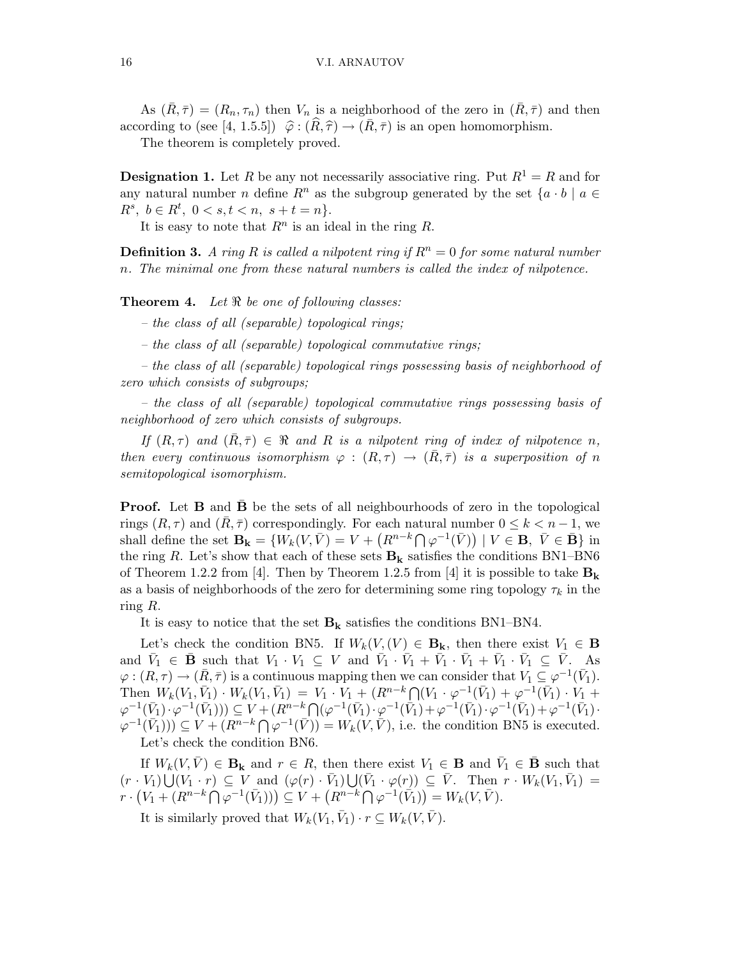As  $(\bar{R}, \bar{\tau}) = (R_n, \tau_n)$  then  $V_n$  is a neighborhood of the zero in  $(\bar{R}, \bar{\tau})$  and then according to (see [4, 1.5.5])  $\hat{\varphi}$  :  $(\hat{R}, \hat{\tau}) \rightarrow (\bar{R}, \bar{\tau})$  is an open homomorphism.

The theorem is completely proved.

**Designation 1.** Let R be any not necessarily associative ring. Put  $R^1 = R$  and for any natural number n define  $R^n$  as the subgroup generated by the set  $\{a \cdot b \mid a \in$  $R^s, b \in R^t, 0 < s, t < n, s+t = n$ .

It is easy to note that  $R^n$  is an ideal in the ring R.

**Definition 3.** A ring R is called a nilpotent ring if  $R^n = 0$  for some natural number n. The minimal one from these natural numbers is called the index of nilpotence.

**Theorem 4.** Let  $\Re$  be one of following classes:

– the class of all (separable) topological rings;

– the class of all (separable) topological commutative rings;

– the class of all (separable) topological rings possessing basis of neighborhood of zero which consists of subgroups;

– the class of all (separable) topological commutative rings possessing basis of neighborhood of zero which consists of subgroups.

If  $(R, \tau)$  and  $(R, \bar{\tau}) \in \Re$  and R is a nilpotent ring of index of nilpotence n, then every continuous isomorphism  $\varphi : (R, \tau) \to (R, \bar{\tau})$  is a superposition of n semitopological isomorphism.

**Proof.** Let **B** and **B** be the sets of all neighbourhoods of zero in the topological rings  $(R, \tau)$  and  $(R, \overline{\tau})$  correspondingly. For each natural number  $0 \leq k < n-1$ , we shall define the set  $\mathbf{B_k} = \{W_k(V, \bar{V}) = V + (R^{n-k} \cap \varphi^{-1}(\bar{V})) \mid V \in \mathbf{B}, \ \bar{V} \in \mathbf{B}\}\$ in the ring R. Let's show that each of these sets  $B_k$  satisfies the conditions BN1–BN6 of Theorem 1.2.2 from [4]. Then by Theorem 1.2.5 from [4] it is possible to take  $B_k$ as a basis of neighborhoods of the zero for determining some ring topology  $\tau_k$  in the ring R.

It is easy to notice that the set  $B_k$  satisfies the conditions BN1–BN4.

Let's check the condition BN5. If  $W_k(V,(V) \in \mathbf{B}_k$ , then there exist  $V_1 \in \mathbf{B}$ and  $\bar{V}_1 \in \bar{\mathbf{B}}$  such that  $V_1 \cdot V_1 \subseteq V$  and  $\bar{V}_1 \cdot \bar{V}_1 + \bar{V}_1 \cdot \bar{V}_1 + \bar{V}_1 \cdot \bar{V}_1 \subseteq \bar{V}$ . As  $\varphi:(R,\tau)\to(\bar{R},\bar{\tau})$  is a continuous mapping then we can consider that  $V_1\subseteq\varphi^{-1}(\bar{V}_1)$ . Then  $W_k(V_1, \bar{V}_1) \cdot W_k(V_1, \bar{V}_1) = V_1 \cdot V_1 + (R^{n-k} \bigcap (V_1 \cdot \varphi^{-1}(\bar{V}_1) + \varphi^{-1}(\bar{V}_1) \cdot V_1 +$  $\varphi^{-1}(\bar{V}_1) \cdot \varphi^{-1}(\bar{V}_1)) \subseteq V + (R^{n-k} \bigcap (\varphi^{-1}(\bar{V}_1) \cdot \varphi^{-1}(\bar{V}_1) + \varphi^{-1}(\bar{V}_1) \cdot \varphi^{-1}(\bar{V}_1) + \varphi^{-1}(\bar{V}_1))$  $(\varphi^{-1}(\bar{V}_1))) \subseteq V + (R^{n-k} \cap \varphi^{-1}(\bar{V})) = W_k(V, \bar{V}),$  i.e. the condition BN5 is executed. Let's check the condition BN6.

If  $W_k(V, \bar{V}) \in \mathbf{B_k}$  and  $r \in R$ , then there exist  $V_1 \in \mathbf{B}$  and  $\bar{V}_1 \in \bar{\mathbf{B}}$  such that  $(r \cdot V_1) \bigcup (V_1 \cdot r) \subseteq V$  and  $(\varphi(r) \cdot \bar{V}_1) \bigcup (\bar{V}_1 \cdot \varphi(r)) \subseteq \bar{V}$ . Then  $r \cdot W_k(V_1, \bar{V}_1) =$  $r \cdot (V_1 + (R^{n-k} \bigcap \varphi^{-1}(\bar{V}_1))) \subseteq V + (R^{n-k} \bigcap \varphi^{-1}(\bar{V}_1)) = W_k(V, \bar{V}).$ 

It is similarly proved that  $W_k(V_1, \bar{V}_1) \cdot r \subseteq W_k(V, \bar{V}).$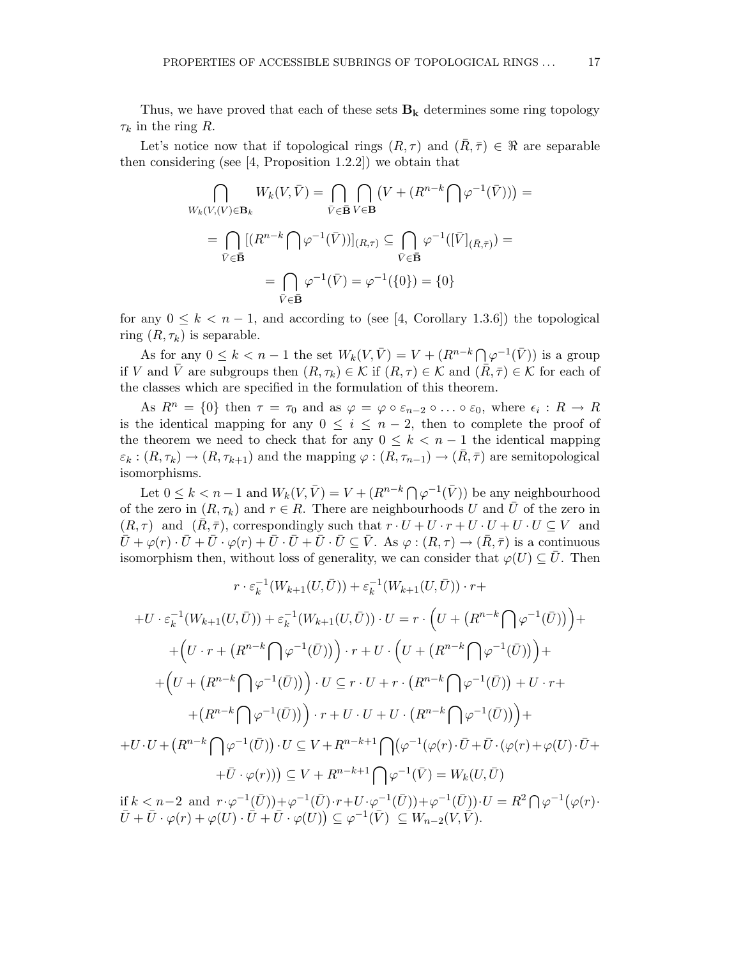Thus, we have proved that each of these sets  $B_k$  determines some ring topology  $\tau_k$  in the ring R.

Let's notice now that if topological rings  $(R, \tau)$  and  $(R, \bar{\tau}) \in \Re$  are separable then considering (see [4, Proposition 1.2.2]) we obtain that

$$
\bigcap_{W_k(V,(V)\in\mathbf{B}_k} W_k(V,\bar{V}) = \bigcap_{\bar{V}\in\bar{\mathbf{B}}} \bigcap_{V\in\mathbf{B}} \left(V + (R^{n-k}\bigcap \varphi^{-1}(\bar{V}))\right) =
$$
\n
$$
= \bigcap_{\bar{V}\in\bar{\mathbf{B}}} \left[ (R^{n-k}\bigcap \varphi^{-1}(\bar{V})) \right]_{(R,\tau)} \subseteq \bigcap_{\bar{V}\in\bar{\mathbf{B}}} \varphi^{-1}([\bar{V}]_{(\bar{R},\bar{\tau})}) =
$$
\n
$$
= \bigcap_{\bar{V}\in\bar{\mathbf{B}}} \varphi^{-1}(\bar{V}) = \varphi^{-1}(\{0\}) = \{0\}
$$

for any  $0 \leq k < n-1$ , and according to (see [4, Corollary 1.3.6]) the topological ring  $(R, \tau_k)$  is separable.

As for any  $0 \leq k < n-1$  the set  $W_k(V, \bar{V}) = V + (R^{n-k} \cap \varphi^{-1}(\bar{V}))$  is a group if V and  $\overline{V}$  are subgroups then  $(R, \tau_k) \in K$  if  $(R, \tau) \in K$  and  $(\overline{R}, \overline{\tau}) \in K$  for each of the classes which are specified in the formulation of this theorem.

As  $R^n = \{0\}$  then  $\tau = \tau_0$  and as  $\varphi = \varphi \circ \varepsilon_{n-2} \circ \ldots \circ \varepsilon_0$ , where  $\epsilon_i : R \to R$ is the identical mapping for any  $0 \leq i \leq n-2$ , then to complete the proof of the theorem we need to check that for any  $0 \leq k < n-1$  the identical mapping  $\varepsilon_k : (R, \tau_k) \to (R, \tau_{k+1})$  and the mapping  $\varphi : (R, \tau_{n-1}) \to (\bar{R}, \bar{\tau})$  are semitopological isomorphisms.

Let  $0 \leq k < n-1$  and  $W_k(V, \bar{V}) = V + (R^{n-k} \bigcap \varphi^{-1}(\bar{V}))$  be any neighbourhood of the zero in  $(R, \tau_k)$  and  $r \in R$ . There are neighbourhoods U and  $\overline{U}$  of the zero in  $(R, \tau)$  and  $(\bar{R}, \bar{\tau})$ , correspondingly such that  $r \cdot U + U \cdot r + U \cdot U + U \cdot U \subseteq V$  and  $\overline{U} + \varphi(r) \cdot \overline{U} + \overline{U} \cdot \varphi(r) + \overline{U} \cdot \overline{U} + \overline{U} \cdot \overline{U} \subseteq \overline{V}$ . As  $\varphi : (R, \tau) \to (\overline{R}, \overline{\tau})$  is a continuous isomorphism then, without loss of generality, we can consider that  $\varphi(U) \subseteq \overline{U}$ . Then

$$
r \cdot \varepsilon_k^{-1}(W_{k+1}(U,\bar{U})) + \varepsilon_k^{-1}(W_{k+1}(U,\bar{U})) \cdot r +
$$
  
+U \cdot \varepsilon\_k^{-1}(W\_{k+1}(U,\bar{U})) + \varepsilon\_k^{-1}(W\_{k+1}(U,\bar{U})) \cdot U = r \cdot \left(U + (R^{n-k} \bigcap \varphi^{-1}(\bar{U}))\right) +  
+
$$
\left(U \cdot r + (R^{n-k} \bigcap \varphi^{-1}(\bar{U}))\right) \cdot r + U \cdot \left(U + (R^{n-k} \bigcap \varphi^{-1}(\bar{U}))\right) +
$$
  
+
$$
\left(U + (R^{n-k} \bigcap \varphi^{-1}(\bar{U}))\right) \cdot U \subseteq r \cdot U + r \cdot (R^{n-k} \bigcap \varphi^{-1}(\bar{U})) + U \cdot r +
$$
  
+
$$
\left(R^{n-k} \bigcap \varphi^{-1}(\bar{U})\right) \cdot r + U \cdot U + U \cdot \left(R^{n-k} \bigcap \varphi^{-1}(\bar{U})\right) +
$$
  
+U \cdot U + 
$$
\left(R^{n-k} \bigcap \varphi^{-1}(\bar{U})\right) \cdot U \subseteq V + R^{n-k+1} \bigcap (\varphi^{-1}(\varphi(r) \cdot \bar{U} + \bar{U} \cdot (\varphi(r) + \varphi(U) \cdot \bar{U} +
$$
  
+
$$
\bar{U} \cdot \varphi(r))\right) \subseteq V + R^{n-k+1} \bigcap \varphi^{-1}(\bar{V}) = W_k(U, \bar{U})
$$

if  $k < n-2$  and  $r \cdot \varphi^{-1}(\overline{U}) + \varphi^{-1}(\overline{U}) \cdot r + U \cdot \varphi^{-1}(\overline{U})) + \varphi^{-1}(\overline{U})) \cdot U = R^2 \bigcap \varphi^{-1}(\varphi(r) \cdot$  $\bar{U}+\bar{U}\cdot\varphi(r)+\varphi(\bar{U})\cdot \bar{\bar{U}}+\bar{U}\cdot\varphi(\bar{U})\big)\subseteq \varphi^{-1}(\bar{V})\,\subseteq W_{n-2}(\bar{V},\bar{\bar{V}}).$